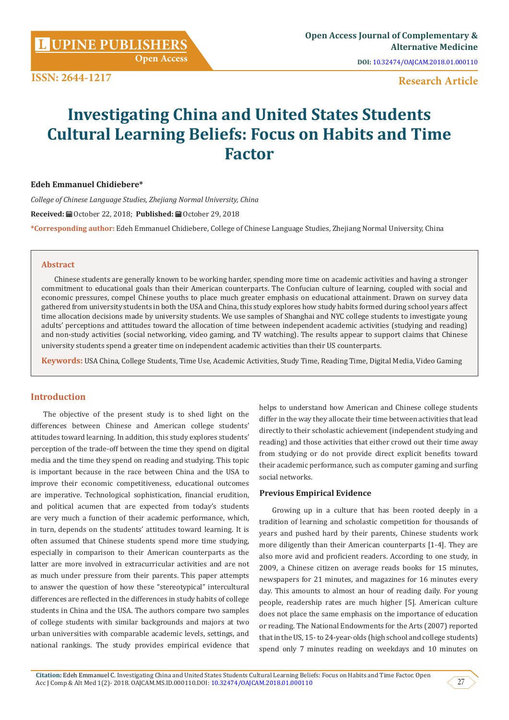**DOI:** [10.32474/OAJCAM.2018.01.000110](https://doi.org/10.32474/OAJCAM.2018.01.000110
)

## **ISSN: 2644-1217**

# **Investigating China and United States Students Cultural Learning Beliefs: Focus on Habits and Time Factor**

## **Edeh Emmanuel Chidiebere\***

*College of Chinese Language Studies, Zhejiang Normal University, China* Received: **■** October 22, 2018; Published: ■ October 29, 2018

**\*Corresponding author:** Edeh Emmanuel Chidiebere, College of Chinese Language Studies, Zhejiang Normal University, China

#### **Abstract**

Chinese students are generally known to be working harder, spending more time on academic activities and having a stronger commitment to educational goals than their American counterparts. The Confucian culture of learning, coupled with social and economic pressures, compel Chinese youths to place much greater emphasis on educational attainment. Drawn on survey data gathered from university students in both the USA and China, this study explores how study habits formed during school years affect time allocation decisions made by university students. We use samples of Shanghai and NYC college students to investigate young adults' perceptions and attitudes toward the allocation of time between independent academic activities (studying and reading) and non-study activities (social networking, video gaming, and TV watching). The results appear to support claims that Chinese university students spend a greater time on independent academic activities than their US counterparts.

**Keywords:** USA China, College Students, Time Use, Academic Activities, Study Time, Reading Time, Digital Media, Video Gaming

## **Introduction**

The objective of the present study is to shed light on the differences between Chinese and American college students' attitudes toward learning. In addition, this study explores students' perception of the trade-off between the time they spend on digital media and the time they spend on reading and studying. This topic is important because in the race between China and the USA to improve their economic competitiveness, educational outcomes are imperative. Technological sophistication, financial erudition, and political acumen that are expected from today's students are very much a function of their academic performance, which, in turn, depends on the students' attitudes toward learning. It is often assumed that Chinese students spend more time studying, especially in comparison to their American counterparts as the latter are more involved in extracurricular activities and are not as much under pressure from their parents. This paper attempts to answer the question of how these "stereotypical" intercultural differences are reflected in the differences in study habits of college students in China and the USA. The authors compare two samples of college students with similar backgrounds and majors at two urban universities with comparable academic levels, settings, and national rankings. The study provides empirical evidence that

helps to understand how American and Chinese college students differ in the way they allocate their time between activities that lead directly to their scholastic achievement (independent studying and reading) and those activities that either crowd out their time away from studying or do not provide direct explicit benefits toward their academic performance, such as computer gaming and surfing social networks.

#### **Previous Empirical Evidence**

Growing up in a culture that has been rooted deeply in a tradition of learning and scholastic competition for thousands of years and pushed hard by their parents, Chinese students work more diligently than their American counterparts [1-4]. They are also more avid and proficient readers. According to one study, in 2009, a Chinese citizen on average reads books for 15 minutes, newspapers for 21 minutes, and magazines for 16 minutes every day. This amounts to almost an hour of reading daily. For young people, readership rates are much higher [5]. American culture does not place the same emphasis on the importance of education or reading. The National Endowments for the Arts (2007) reported that in the US, 15- to 24-year-olds (high school and college students) spend only 7 minutes reading on weekdays and 10 minutes on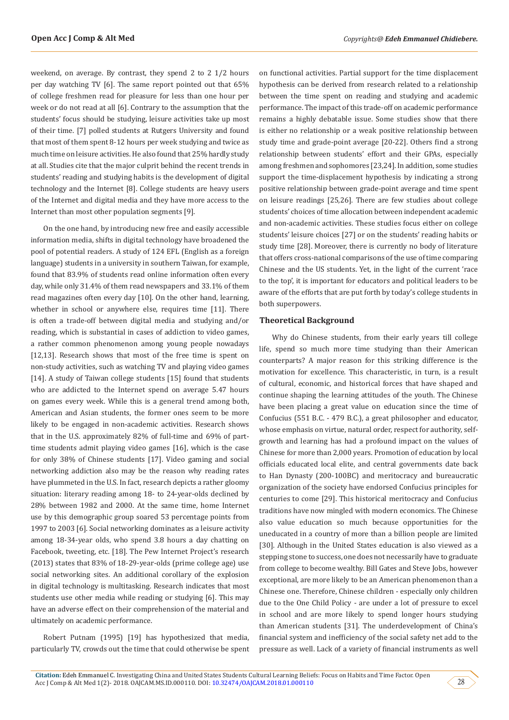weekend, on average. By contrast, they spend 2 to 2 1/2 hours per day watching TV [6]. The same report pointed out that 65% of college freshmen read for pleasure for less than one hour per week or do not read at all [6]. Contrary to the assumption that the students' focus should be studying, leisure activities take up most of their time. [7] polled students at Rutgers University and found that most of them spent 8-12 hours per week studying and twice as much time on leisure activities. He also found that 25% hardly study at all. Studies cite that the major culprit behind the recent trends in students' reading and studying habits is the development of digital technology and the Internet [8]. College students are heavy users of the Internet and digital media and they have more access to the Internet than most other population segments [9].

On the one hand, by introducing new free and easily accessible information media, shifts in digital technology have broadened the pool of potential readers. A study of 124 EFL (English as a foreign language) students in a university in southern Taiwan, for example, found that 83.9% of students read online information often every day, while only 31.4% of them read newspapers and 33.1% of them read magazines often every day [10]. On the other hand, learning, whether in school or anywhere else, requires time [11]. There is often a trade-off between digital media and studying and/or reading, which is substantial in cases of addiction to video games, a rather common phenomenon among young people nowadays [12,13]. Research shows that most of the free time is spent on non-study activities, such as watching TV and playing video games [14]. A study of Taiwan college students [15] found that students who are addicted to the Internet spend on average 5.47 hours on games every week. While this is a general trend among both, American and Asian students, the former ones seem to be more likely to be engaged in non-academic activities. Research shows that in the U.S. approximately 82% of full-time and 69% of parttime students admit playing video games [16], which is the case for only 38% of Chinese students [17]. Video gaming and social networking addiction also may be the reason why reading rates have plummeted in the U.S. In fact, research depicts a rather gloomy situation: literary reading among 18- to 24-year-olds declined by 28% between 1982 and 2000. At the same time, home Internet use by this demographic group soared 53 percentage points from 1997 to 2003 [6]. Social networking dominates as a leisure activity among 18-34-year olds, who spend 3.8 hours a day chatting on Facebook, tweeting, etc. [18]. The Pew Internet Project's research (2013) states that 83% of 18-29-year-olds (prime college age) use social networking sites. An additional corollary of the explosion in digital technology is multitasking. Research indicates that most students use other media while reading or studying [6]. This may have an adverse effect on their comprehension of the material and ultimately on academic performance.

Robert Putnam (1995) [19] has hypothesized that media, particularly TV, crowds out the time that could otherwise be spent on functional activities. Partial support for the time displacement hypothesis can be derived from research related to a relationship between the time spent on reading and studying and academic performance. The impact of this trade-off on academic performance remains a highly debatable issue. Some studies show that there is either no relationship or a weak positive relationship between study time and grade-point average [20-22]. Others find a strong relationship between students' effort and their GPAs, especially among freshmen and sophomores [23,24]. In addition, some studies support the time-displacement hypothesis by indicating a strong positive relationship between grade-point average and time spent on leisure readings [25,26]. There are few studies about college students' choices of time allocation between independent academic and non-academic activities. These studies focus either on college students' leisure choices [27] or on the students' reading habits or study time [28]. Moreover, there is currently no body of literature that offers cross-national comparisons of the use of time comparing Chinese and the US students. Yet, in the light of the current 'race to the top', it is important for educators and political leaders to be aware of the efforts that are put forth by today's college students in both superpowers.

#### **Theoretical Background**

Why do Chinese students, from their early years till college life, spend so much more time studying than their American counterparts? A major reason for this striking difference is the motivation for excellence. This characteristic, in turn, is a result of cultural, economic, and historical forces that have shaped and continue shaping the learning attitudes of the youth. The Chinese have been placing a great value on education since the time of Confucius (551 B.C. - 479 B.C.), a great philosopher and educator, whose emphasis on virtue, natural order, respect for authority, selfgrowth and learning has had a profound impact on the values of Chinese for more than 2,000 years. Promotion of education by local officials educated local elite, and central governments date back to Han Dynasty (200-100BC) and meritocracy and bureaucratic organization of the society have endorsed Confucius principles for centuries to come [29]. This historical meritocracy and Confucius traditions have now mingled with modern economics. The Chinese also value education so much because opportunities for the uneducated in a country of more than a billion people are limited [30]. Although in the United States education is also viewed as a stepping stone to success, one does not necessarily have to graduate from college to become wealthy. Bill Gates and Steve Jobs, however exceptional, are more likely to be an American phenomenon than a Chinese one. Therefore, Chinese children - especially only children due to the One Child Policy - are under a lot of pressure to excel in school and are more likely to spend longer hours studying than American students [31]. The underdevelopment of China's financial system and inefficiency of the social safety net add to the pressure as well. Lack of a variety of financial instruments as well

28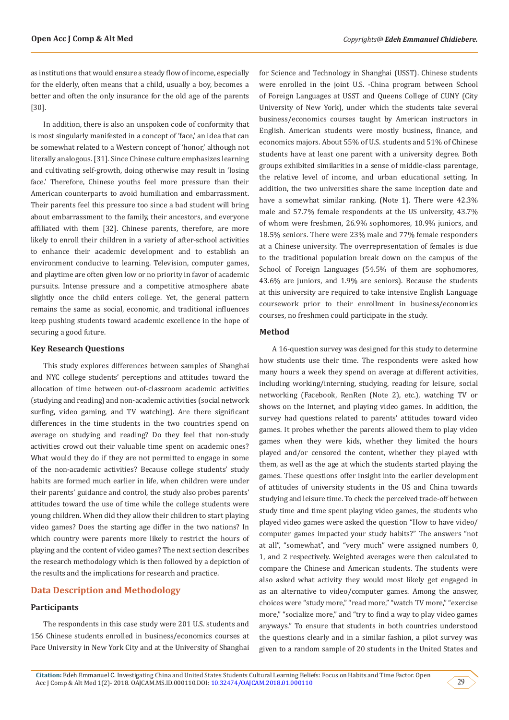as institutions that would ensure a steady flow of income, especially for the elderly, often means that a child, usually a boy, becomes a better and often the only insurance for the old age of the parents [30].

In addition, there is also an unspoken code of conformity that is most singularly manifested in a concept of 'face,' an idea that can be somewhat related to a Western concept of 'honor,' although not literally analogous. [31]. Since Chinese culture emphasizes learning and cultivating self-growth, doing otherwise may result in 'losing face.' Therefore, Chinese youths feel more pressure than their American counterparts to avoid humiliation and embarrassment. Their parents feel this pressure too since a bad student will bring about embarrassment to the family, their ancestors, and everyone affiliated with them [32]. Chinese parents, therefore, are more likely to enroll their children in a variety of after-school activities to enhance their academic development and to establish an environment conducive to learning. Television, computer games, and playtime are often given low or no priority in favor of academic pursuits. Intense pressure and a competitive atmosphere abate slightly once the child enters college. Yet, the general pattern remains the same as social, economic, and traditional influences keep pushing students toward academic excellence in the hope of securing a good future.

#### **Key Research Questions**

This study explores differences between samples of Shanghai and NYC college students' perceptions and attitudes toward the allocation of time between out-of-classroom academic activities (studying and reading) and non-academic activities (social network surfing, video gaming, and TV watching). Are there significant differences in the time students in the two countries spend on average on studying and reading? Do they feel that non-study activities crowd out their valuable time spent on academic ones? What would they do if they are not permitted to engage in some of the non-academic activities? Because college students' study habits are formed much earlier in life, when children were under their parents' guidance and control, the study also probes parents' attitudes toward the use of time while the college students were young children. When did they allow their children to start playing video games? Does the starting age differ in the two nations? In which country were parents more likely to restrict the hours of playing and the content of video games? The next section describes the research methodology which is then followed by a depiction of the results and the implications for research and practice.

## **Data Description and Methodology**

#### **Participants**

The respondents in this case study were 201 U.S. students and 156 Chinese students enrolled in business/economics courses at Pace University in New York City and at the University of Shanghai

for Science and Technology in Shanghai (USST). Chinese students were enrolled in the joint U.S. -China program between School of Foreign Languages at USST and Queens College of CUNY (City University of New York), under which the students take several business/economics courses taught by American instructors in English. American students were mostly business, finance, and economics majors. About 55% of U.S. students and 51% of Chinese students have at least one parent with a university degree. Both groups exhibited similarities in a sense of middle-class parentage, the relative level of income, and urban educational setting. In addition, the two universities share the same inception date and have a somewhat similar ranking. (Note 1). There were 42.3% male and 57.7% female respondents at the US university, 43.7% of whom were freshmen, 26.9% sophomores, 10.9% juniors, and 18.5% seniors. There were 23% male and 77% female responders at a Chinese university. The overrepresentation of females is due to the traditional population break down on the campus of the School of Foreign Languages (54.5% of them are sophomores, 43.6% are juniors, and 1.9% are seniors). Because the students at this university are required to take intensive English Language coursework prior to their enrollment in business/economics courses, no freshmen could participate in the study.

#### **Method**

A 16-question survey was designed for this study to determine how students use their time. The respondents were asked how many hours a week they spend on average at different activities, including working/interning, studying, reading for leisure, social networking (Facebook, RenRen (Note 2), etc.), watching TV or shows on the Internet, and playing video games. In addition, the survey had questions related to parents' attitudes toward video games. It probes whether the parents allowed them to play video games when they were kids, whether they limited the hours played and/or censored the content, whether they played with them, as well as the age at which the students started playing the games. These questions offer insight into the earlier development of attitudes of university students in the US and China towards studying and leisure time. To check the perceived trade-off between study time and time spent playing video games, the students who played video games were asked the question "How to have video/ computer games impacted your study habits?" The answers "not at all", "somewhat", and "very much" were assigned numbers 0, 1, and 2 respectively. Weighted averages were then calculated to compare the Chinese and American students. The students were also asked what activity they would most likely get engaged in as an alternative to video/computer games. Among the answer, choices were "study more," "read more," "watch TV more," "exercise more," "socialize more," and "try to find a way to play video games anyways." To ensure that students in both countries understood the questions clearly and in a similar fashion, a pilot survey was given to a random sample of 20 students in the United States and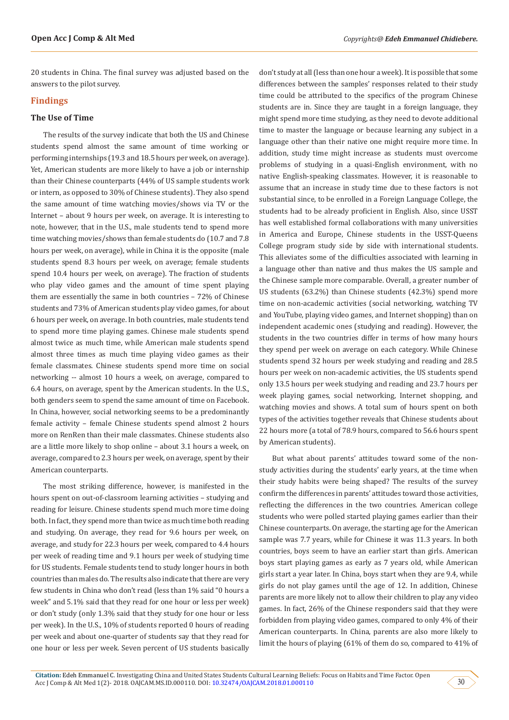20 students in China. The final survey was adjusted based on the answers to the pilot survey.

#### **Findings**

#### **The Use of Time**

The results of the survey indicate that both the US and Chinese students spend almost the same amount of time working or performing internships (19.3 and 18.5 hours per week, on average). Yet, American students are more likely to have a job or internship than their Chinese counterparts (44% of US sample students work or intern, as opposed to 30% of Chinese students). They also spend the same amount of time watching movies/shows via TV or the Internet – about 9 hours per week, on average. It is interesting to note, however, that in the U.S., male students tend to spend more time watching movies/shows than female students do (10.7 and 7.8) hours per week, on average), while in China it is the opposite (male students spend 8.3 hours per week, on average; female students spend 10.4 hours per week, on average). The fraction of students who play video games and the amount of time spent playing them are essentially the same in both countries – 72% of Chinese students and 73% of American students play video games, for about 6 hours per week, on average. In both countries, male students tend to spend more time playing games. Chinese male students spend almost twice as much time, while American male students spend almost three times as much time playing video games as their female classmates. Chinese students spend more time on social networking -- almost 10 hours a week, on average, compared to 6.4 hours, on average, spent by the American students. In the U.S., both genders seem to spend the same amount of time on Facebook. In China, however, social networking seems to be a predominantly female activity – female Chinese students spend almost 2 hours more on RenRen than their male classmates. Chinese students also are a little more likely to shop online – about 3.1 hours a week, on average, compared to 2.3 hours per week, on average, spent by their American counterparts.

The most striking difference, however, is manifested in the hours spent on out-of-classroom learning activities – studying and reading for leisure. Chinese students spend much more time doing both. In fact, they spend more than twice as much time both reading and studying. On average, they read for 9.6 hours per week, on average, and study for 22.3 hours per week, compared to 4.4 hours per week of reading time and 9.1 hours per week of studying time for US students. Female students tend to study longer hours in both countries than males do. The results also indicate that there are very few students in China who don't read (less than 1% said "0 hours a week" and 5.1% said that they read for one hour or less per week) or don't study (only 1.3% said that they study for one hour or less per week). In the U.S., 10% of students reported 0 hours of reading per week and about one-quarter of students say that they read for one hour or less per week. Seven percent of US students basically

don't study at all (less than one hour a week). It is possible that some differences between the samples' responses related to their study time could be attributed to the specifics of the program Chinese students are in. Since they are taught in a foreign language, they might spend more time studying, as they need to devote additional time to master the language or because learning any subject in a language other than their native one might require more time. In addition, study time might increase as students must overcome problems of studying in a quasi-English environment, with no native English-speaking classmates. However, it is reasonable to assume that an increase in study time due to these factors is not substantial since, to be enrolled in a Foreign Language College, the students had to be already proficient in English. Also, since USST has well established formal collaborations with many universities in America and Europe, Chinese students in the USST-Queens College program study side by side with international students. This alleviates some of the difficulties associated with learning in a language other than native and thus makes the US sample and the Chinese sample more comparable. Overall, a greater number of US students (63.2%) than Chinese students (42.3%) spend more time on non-academic activities (social networking, watching TV and YouTube, playing video games, and Internet shopping) than on independent academic ones (studying and reading). However, the students in the two countries differ in terms of how many hours they spend per week on average on each category. While Chinese students spend 32 hours per week studying and reading and 28.5 hours per week on non-academic activities, the US students spend only 13.5 hours per week studying and reading and 23.7 hours per week playing games, social networking, Internet shopping, and watching movies and shows. A total sum of hours spent on both types of the activities together reveals that Chinese students about 22 hours more (a total of 78.9 hours, compared to 56.6 hours spent by American students).

But what about parents' attitudes toward some of the nonstudy activities during the students' early years, at the time when their study habits were being shaped? The results of the survey confirm the differences in parents' attitudes toward those activities, reflecting the differences in the two countries. American college students who were polled started playing games earlier than their Chinese counterparts. On average, the starting age for the American sample was 7.7 years, while for Chinese it was 11.3 years. In both countries, boys seem to have an earlier start than girls. American boys start playing games as early as 7 years old, while American girls start a year later. In China, boys start when they are 9.4, while girls do not play games until the age of 12. In addition, Chinese parents are more likely not to allow their children to play any video games. In fact, 26% of the Chinese responders said that they were forbidden from playing video games, compared to only 4% of their American counterparts. In China, parents are also more likely to limit the hours of playing (61% of them do so, compared to 41% of

30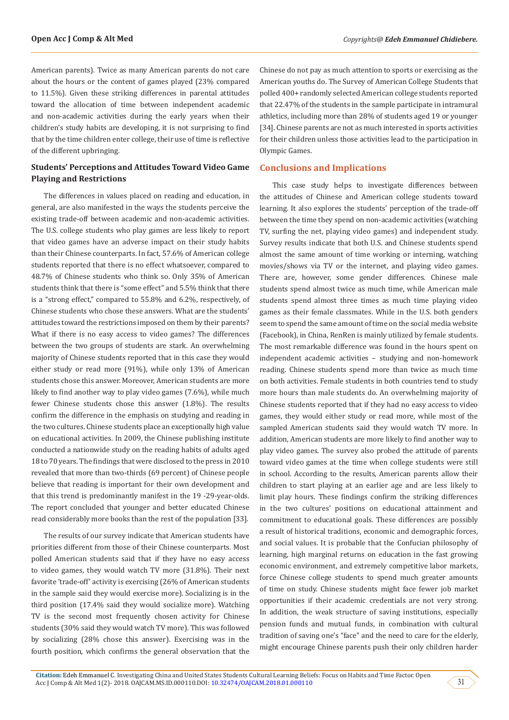American parents). Twice as many American parents do not care about the hours or the content of games played (23% compared to 11.5%). Given these striking differences in parental attitudes toward the allocation of time between independent academic and non-academic activities during the early years when their children's study habits are developing, it is not surprising to find that by the time children enter college, their use of time is reflective of the different upbringing.

## **Students' Perceptions and Attitudes Toward Video Game Playing and Restrictions**

The differences in values placed on reading and education, in general, are also manifested in the ways the students perceive the existing trade-off between academic and non-academic activities. The U.S. college students who play games are less likely to report that video games have an adverse impact on their study habits than their Chinese counterparts. In fact, 57.6% of American college students reported that there is no effect whatsoever, compared to 48.7% of Chinese students who think so. Only 35% of American students think that there is "some effect" and 5.5% think that there is a "strong effect," compared to 55.8% and 6.2%, respectively, of Chinese students who chose these answers. What are the students' attitudes toward the restrictions imposed on them by their parents? What if there is no easy access to video games? The differences between the two groups of students are stark. An overwhelming majority of Chinese students reported that in this case they would either study or read more (91%), while only 13% of American students chose this answer. Moreover, American students are more likely to find another way to play video games (7.6%), while much fewer Chinese students chose this answer (1.8%). The results confirm the difference in the emphasis on studying and reading in the two cultures. Chinese students place an exceptionally high value on educational activities. In 2009, the Chinese publishing institute conducted a nationwide study on the reading habits of adults aged 18 to 70 years. The findings that were disclosed to the press in 2010 revealed that more than two-thirds (69 percent) of Chinese people believe that reading is important for their own development and that this trend is predominantly manifest in the 19 -29-year-olds. The report concluded that younger and better educated Chinese read considerably more books than the rest of the population [33].

The results of our survey indicate that American students have priorities different from those of their Chinese counterparts. Most polled American students said that if they have no easy access to video games, they would watch TV more (31.8%). Their next favorite 'trade-off' activity is exercising (26% of American students in the sample said they would exercise more). Socializing is in the third position (17.4% said they would socialize more). Watching TV is the second most frequently chosen activity for Chinese students (30% said they would watch TV more). This was followed by socializing (28% chose this answer). Exercising was in the fourth position, which confirms the general observation that the

Chinese do not pay as much attention to sports or exercising as the American youths do. The Survey of American College Students that polled 400+ randomly selected American college students reported that 22.47% of the students in the sample participate in intramural athletics, including more than 28% of students aged 19 or younger [34]. Chinese parents are not as much interested in sports activities for their children unless those activities lead to the participation in Olympic Games.

## **Conclusions and Implications**

This case study helps to investigate differences between the attitudes of Chinese and American college students toward learning. It also explores the students' perception of the trade-off between the time they spend on non-academic activities (watching TV, surfing the net, playing video games) and independent study. Survey results indicate that both U.S. and Chinese students spend almost the same amount of time working or interning, watching movies/shows via TV or the internet, and playing video games. There are, however, some gender differences. Chinese male students spend almost twice as much time, while American male students spend almost three times as much time playing video games as their female classmates. While in the U.S. both genders seem to spend the same amount of time on the social media website (Facebook), in China, RenRen is mainly utilized by female students. The most remarkable difference was found in the hours spent on independent academic activities – studying and non-homework reading. Chinese students spend more than twice as much time on both activities. Female students in both countries tend to study more hours than male students do. An overwhelming majority of Chinese students reported that if they had no easy access to video games, they would either study or read more, while most of the sampled American students said they would watch TV more. In addition, American students are more likely to find another way to play video games. The survey also probed the attitude of parents toward video games at the time when college students were still in school. According to the results, American parents allow their children to start playing at an earlier age and are less likely to limit play hours. These findings confirm the striking differences in the two cultures' positions on educational attainment and commitment to educational goals. These differences are possibly a result of historical traditions, economic and demographic forces, and social values. It is probable that the Confucian philosophy of learning, high marginal returns on education in the fast growing economic environment, and extremely competitive labor markets, force Chinese college students to spend much greater amounts of time on study. Chinese students might face fewer job market opportunities if their academic credentials are not very strong. In addition, the weak structure of saving institutions, especially pension funds and mutual funds, in combination with cultural tradition of saving one's "face" and the need to care for the elderly, might encourage Chinese parents push their only children harder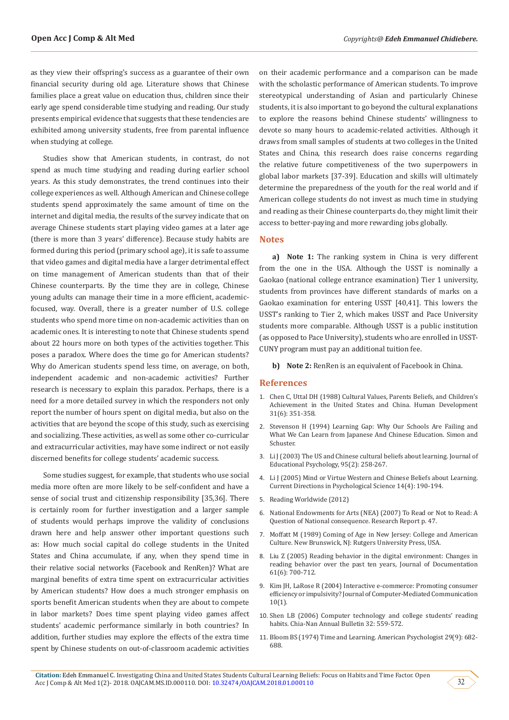as they view their offspring's success as a guarantee of their own financial security during old age. Literature shows that Chinese families place a great value on education thus, children since their early age spend considerable time studying and reading. Our study presents empirical evidence that suggests that these tendencies are exhibited among university students, free from parental influence when studying at college.

Studies show that American students, in contrast, do not spend as much time studying and reading during earlier school years. As this study demonstrates, the trend continues into their college experiences as well. Although American and Chinese college students spend approximately the same amount of time on the internet and digital media, the results of the survey indicate that on average Chinese students start playing video games at a later age (there is more than 3 years' difference). Because study habits are formed during this period (primary school age), it is safe to assume that video games and digital media have a larger detrimental effect on time management of American students than that of their Chinese counterparts. By the time they are in college, Chinese young adults can manage their time in a more efficient, academicfocused, way. Overall, there is a greater number of U.S. college students who spend more time on non-academic activities than on academic ones. It is interesting to note that Chinese students spend about 22 hours more on both types of the activities together. This poses a paradox. Where does the time go for American students? Why do American students spend less time, on average, on both, independent academic and non-academic activities? Further research is necessary to explain this paradox. Perhaps, there is a need for a more detailed survey in which the responders not only report the number of hours spent on digital media, but also on the activities that are beyond the scope of this study, such as exercising and socializing. These activities, as well as some other co-curricular and extracurricular activities, may have some indirect or not easily discerned benefits for college students' academic success.

Some studies suggest, for example, that students who use social media more often are more likely to be self-confident and have a sense of social trust and citizenship responsibility [35,36]. There is certainly room for further investigation and a larger sample of students would perhaps improve the validity of conclusions drawn here and help answer other important questions such as: How much social capital do college students in the United States and China accumulate, if any, when they spend time in their relative social networks (Facebook and RenRen)? What are marginal benefits of extra time spent on extracurricular activities by American students? How does a much stronger emphasis on sports benefit American students when they are about to compete in labor markets? Does time spent playing video games affect students' academic performance similarly in both countries? In addition, further studies may explore the effects of the extra time spent by Chinese students on out-of-classroom academic activities

on their academic performance and a comparison can be made with the scholastic performance of American students. To improve stereotypical understanding of Asian and particularly Chinese students, it is also important to go beyond the cultural explanations to explore the reasons behind Chinese students' willingness to devote so many hours to academic-related activities. Although it draws from small samples of students at two colleges in the United States and China, this research does raise concerns regarding the relative future competitiveness of the two superpowers in global labor markets [37-39]. Education and skills will ultimately determine the preparedness of the youth for the real world and if American college students do not invest as much time in studying and reading as their Chinese counterparts do, they might limit their access to better-paying and more rewarding jobs globally.

#### **Notes**

**a) Note 1:** The ranking system in China is very different from the one in the USA. Although the USST is nominally a Gaokao (national college entrance examination) Tier 1 university, students from provinces have different standards of marks on a Gaokao examination for entering USST [40,41]. This lowers the USST's ranking to Tier 2, which makes USST and Pace University students more comparable. Although USST is a public institution (as opposed to Pace University), students who are enrolled in USST-CUNY program must pay an additional tuition fee.

**b) Note 2:** RenRen is an equivalent of Facebook in China.

#### **References**

- 1. [Chen C, Uttal DH \(1988\) Cultural Values, Parents Beliefs, and Children's](http://psycnet.apa.org/record/1989-20504-001) [Achievement in the United States and China. Human Development](http://psycnet.apa.org/record/1989-20504-001) [31\(6\): 351-358.](http://psycnet.apa.org/record/1989-20504-001)
- 2. Stevenson H (1994) Learning Gap: Why Our Schools Are Failing and What We Can Learn from Japanese And Chinese Education. Simon and Schuster.
- 3. [Li J \(2003\) The US and Chinese cultural beliefs about learning. Journal of](http://psycnet.apa.org/record/2003-00780-005) [Educational Psychology, 95\(2\): 258-267.](http://psycnet.apa.org/record/2003-00780-005)
- 4. [Li J \(2005\) Mind or Virtue Western and Chinese Beliefs about Learning.](https://www.jstor.org/stable/20183022) [Current Directions in Psychological Science 14\(4\): 190-194.](https://www.jstor.org/stable/20183022)
- 5. Reading Worldwide (2012)
- 6. [National Endowments for Arts \(NEA\) \(2007\) To Read or Not to Read: A](https://www.arts.gov/sites/default/files/ToRead.pdf) [Question of National consequence. Research Report p. 47.](https://www.arts.gov/sites/default/files/ToRead.pdf)
- 7. Moffatt M (1989) Coming of Age in New Jersey: College and American Culture. New Brunswick, NJ: Rutgers University Press, USA.
- 8. [Liu Z \(2005\) Reading behavior in the digital environment: Changes in](https://pdfs.semanticscholar.org/2dfd/8e98a271cc7d92bde32d216f254c8800e205.pdf) [reading behavior over the past ten years, Journal of Documentation](https://pdfs.semanticscholar.org/2dfd/8e98a271cc7d92bde32d216f254c8800e205.pdf) [61\(6\): 700-712.](https://pdfs.semanticscholar.org/2dfd/8e98a271cc7d92bde32d216f254c8800e205.pdf)
- 9. [Kim JH, LaRose R \(2004\) Interactive e-commerce: Promoting consumer](https://onlinelibrary.wiley.com/doi/full/10.1111/j.1083-6101.2004.tb00234.x) [efficiency or impulsivity? Journal of Computer-Mediated Communication](https://onlinelibrary.wiley.com/doi/full/10.1111/j.1083-6101.2004.tb00234.x) [10\(1\).](https://onlinelibrary.wiley.com/doi/full/10.1111/j.1083-6101.2004.tb00234.x)
- 10. Shen LB (2006) Computer technology and college students' reading habits. Chia-Nan Annual Bulletin 32: 559-572.
- 11. [Bloom BS \(1974\) Time and Learning. American Psychologist 29\(9\): 682-](https://kinasevych.ca/2014/09/22/bloom-1974-time-and-learning/) [688.](https://kinasevych.ca/2014/09/22/bloom-1974-time-and-learning/)